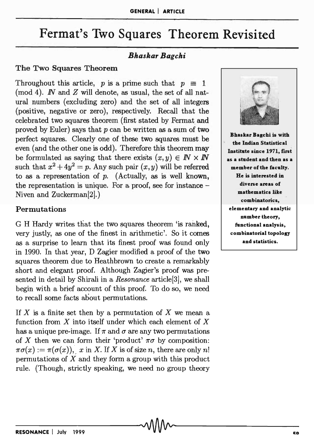# Fermat's Two Squares Theorem Revisited

## *Bhaskar Bagchi*

#### The Two Squares Theorem

Throughout this article, p is a prime such that  $p \equiv 1$ (mod 4).  $\mathbb{N}$  and  $\mathbb{Z}$  will denote, as usual, the set of all natural numbers (excluding zero) and the set of all integers (positive, negative or zero), respectively. Recall that the celebrated two squares theorem (first stated by Fermat and proved by Euler) says that  $p$  can be written as a sum of two perfect squares. Clearly one of these two squares must be even (and the other one is odd). Therefore this theorem may be formulated as saying that there exists  $(x, y) \in \mathbb{N} \times \mathbb{N}$ such that  $x^2 + 4y^2 = p$ . Any such pair  $(x, y)$  will be referred to as a representation of  $p$ . (Actually, as is well known, the representation is unique. For a proof, see for instance -Niven and Zuckerman[2].)

#### Permutations

G H Hardy writes that the two squares theorem 'is ranked, very justly, as one of the finest in arithmetic'. So it comes as a surprise to learn that its finest proof was found only in 1990. In that year, D Zagier modified a proof of the two squares theorem due to Heathbrown to create a remarkably short and elegant proof. Although Zagier's proof was presented in detail by Shirali in a *Resonance* article[3], we shall begin with a brief account of this proof. To do so, we need to recall some facts about permutations.

If X is a finite set then by a permutation of X we mean a function from *X* into itself under which each element of *X*  has a unique pre-image. If  $\pi$  and  $\sigma$  are any two permutations of X then we can form their 'product'  $\pi\sigma$  by composition:  $\pi\sigma(x) := \pi(\sigma(x)),$  *x* in *X*. If *X* is of size *n*, there are only *n!* permutations of *X* and they form a group with this product rule. (Though, strictly speaking, we need no group theory



Bhaskar Bagchi is with the Indian Statistical Institute since 1971, first as a student and then as a member of the faculty. He is interested in diverse areas of mathematics like combinatorics, elementary and analytic number theory, functional analysis, combinatorial topology and statistics.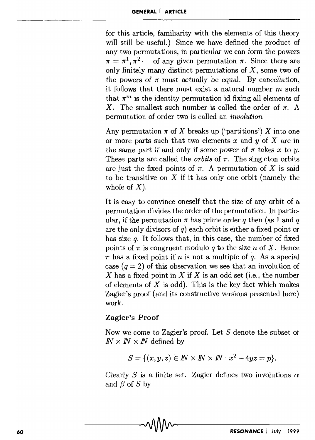for this article, familiarity with the elements of this theory will still be useful.) Since we have defined the product of any two permutations, in particular we can form the powers  $\pi = \pi^1, \pi^2$ . of any given permutation  $\pi$ . Since there are only finitely many distinct permutations of  $X$ , some two of the powers of  $\pi$  must actually be equal. By cancellation, it follows that there must exist a natural number  $m$  such that  $\pi^m$  is the identity permutation id fixing all elements of X. The smallest such number is called the order of  $\pi$ . A permutation of order two is called an *involution.* 

Any permutation  $\pi$  of X breaks up ('partitions') X into one or more parts such that two elements x and *y* of X are in the same part if and only if some power of  $\pi$  takes  $x$  to  $y$ . These parts are called the *orbits* of  $\pi$ . The singleton orbits are just the fixed points of  $\pi$ . A permutation of X is said to be transitive on  $X$  if it has only one orbit (namely the whole of  $X$ ).

It is easy to convince oneself that the size of any orbit of a permutation divides the order of the permutation. In particular, if the permutation  $\pi$  has prime order *q* then (as 1 and *q* are the only divisors of *q)* each orbit is either a fixed point or has size *q*. It follows that, in this case, the number of fixed points of  $\pi$  is congruent modulo *q* to the size *n* of X. Hence  $\pi$  has a fixed point if n is not a multiple of q. As a special case  $(q = 2)$  of this observation we see that an involution of X has a fixed point in X if X is an odd set (i.e., the number of elements of  $X$  is odd). This is the key fact which makes Zagier's proof (and its constructive versions presented here) work.

## Zagier's Proof

Now we come to Zagier's proof. Let S denote the subset of  $$ 

$$
S = \{(x, y, z) \in \mathbb{N} \times \mathbb{N} \times \mathbb{N} : x^2 + 4yz = p\}.
$$

Clearly S is a finite set. Zagier defines two involutions  $\alpha$ and  $\beta$  of  $S$  by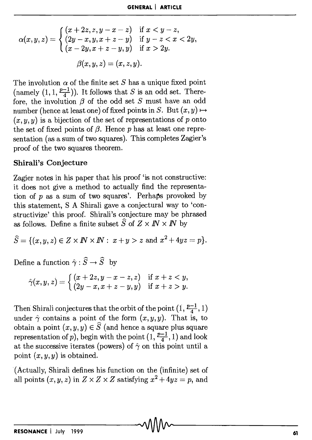$$
\alpha(x, y, z) = \begin{cases}\n(x + 2z, z, y - x - z) & \text{if } x < y - z, \\
(2y - x, y, x + z - y) & \text{if } y - z < x < 2y, \\
(x - 2y, x + z - y, y) & \text{if } x > 2y.\n\end{cases}
$$
\n
$$
\beta(x, y, z) = (x, z, y).
$$

The involution  $\alpha$  of the finite set S has a unique fixed point (namely  $(1,1,\frac{p-1}{4})$ ). It follows that *S* is an odd set. Therefore, the involution  $\beta$  of the odd set  $S$  must have an odd number (hence at least one) of fixed points in *S*. But  $(x, y) \mapsto$  $(x, y, y)$  is a bijection of the set of representations of p onto the set of fixed points of  $\beta$ . Hence p has at least one representation (as a sum of two squares). This completes Zagier's proof of the two squares theorem.

#### **Shirali's Conjecture**

Zagier notes in his paper that his proof 'is not constructive: it does not give a method to actually find the representation of p as a sum of two squares'. Perhaps provoked by this statement, S A Shirali gave a conjectural way to 'constructivize' this proof. Shirali's conjecture may be phrased as follows. Define a finite subset  $\widehat{S}$  of  $Z \times IN \times IN$  by

$$
\widehat{S} = \{ (x,y,z) \in Z \times I\!\!N \times I\!\!N : x+y > z \text{ and } x^2 + 4yz = p \}.
$$

Define a function  $\hat{\gamma}$ :  $\hat{S} \rightarrow \hat{S}$  by

$$
\hat{\gamma}(x,y,z)=\left\{\begin{matrix} (x+2z,y-x-z,z) & \text{if } x+z < y, \\ (2y-x,x+z-y,y) & \text{if } x+z > y. \end{matrix}\right.
$$

Then Shirali conjectures that the orbit of the point  $(1, \frac{p-1}{4}, 1)$ under  $\hat{\gamma}$  contains a point of the form  $(x, y, y)$ . That is, to obtain a point  $(x, y, y) \in \widehat{S}$  (and hence a square plus square representation of p), begin with the point  $(1, \frac{p-1}{4}, 1)$  and look at the successive iterates (powers) of  $\hat{\gamma}$  on this point until a point  $(x, y, y)$  is obtained.

(Actually, Shirali defines his function on the (infinite) set of all points  $(x, y, z)$  in  $Z \times Z \times Z$  satisfying  $x^2 + 4yz = p$ , and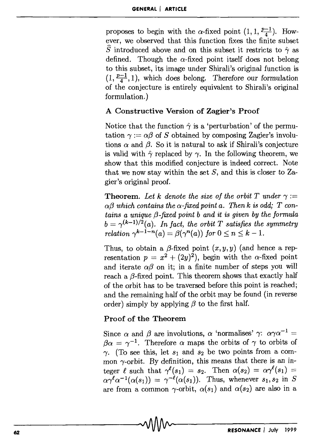proposes to begin with the  $\alpha$ -fixed point  $(1, 1, \frac{p-1}{4})$ . However, we observed that this function fixes the finite subset  $\widehat{S}$  introduced above and on this subset it restricts to  $\hat{\gamma}$  as defined. Though the  $\alpha$ -fixed point itself does not belong to this subset, its image under Shirali's original function is  $(1, \frac{p-1}{4}, 1)$ , which does belong. Therefore our formulation of the conjecture is entirely equivalent to Shirali's original formulation. )

#### A Constructive Version of Zagier's Proof

Notice that the function  $\hat{\gamma}$  is a 'perturbation' of the permutation  $\gamma := \alpha \beta$  of *S* obtained by composing Zagier's involutions  $\alpha$  and  $\beta$ . So it is natural to ask if Shirali's conjecture is valid with  $\hat{\gamma}$  replaced by  $\gamma$ . In the following theorem, we show that this modified conjecture is indeed correct. Note that we now stay within the set  $S$ , and this is closer to  $\mathbb{Z}$ agier's original proof.

**Theorem.** Let k denote the size of the orbit T under  $\gamma$ :=  $\alpha$ <sup>3</sup> which contains the  $\alpha$ -fixed point a. Then k is odd; T con*tains a unique {3-fixed point b and it is given by the formula*   $b = \gamma^{(k-1)/2}(a)$ . In fact, the orbit T satisfies the symmetry *relation*  $\gamma^{k-1-n}(a) = \beta(\gamma^n(a))$  *for*  $0 \le n \le k - 1$ .

Thus, to obtain a  $\beta$ -fixed point  $(x, y, y)$  (and hence a representation  $p = x^2 + (2y)^2$ , begin with the  $\alpha$ -fixed point and iterate  $\alpha\beta$  on it; in a finite number of steps you will reach a  $\beta$ -fixed point. This theorem shows that exactly half of the orbit has to be traversed before this point is reached; and the remaining half of the orbit may be found (in reverse order) simply by applying  $\beta$  to the first half.

## Proof of the Theorem

Since  $\alpha$  and  $\beta$  are involutions,  $\alpha$  'normalises'  $\gamma$ :  $\alpha \gamma \alpha^{-1} =$  $\beta \alpha = \gamma^{-1}$ . Therefore  $\alpha$  maps the orbits of  $\gamma$  to orbits of  $\gamma$ . (To see this, let  $s_1$  and  $s_2$  be two points from a common  $\gamma$ -orbit. By definition, this means that there is an integer  $\ell$  such that  $\gamma(\ell(s_1)) = s_2$ . Then  $\alpha(s_2) = \alpha \gamma(\ell(s_1)) =$  $\alpha \gamma^{\ell} \alpha^{-1}(\alpha(s_1)) = \gamma^{-\ell}(\alpha(s_1)).$  Thus, whenever  $s_1, s_2$  in *S* are from a common  $\gamma$ -orbit,  $\alpha(s_1)$  and  $\alpha(s_2)$  are also in a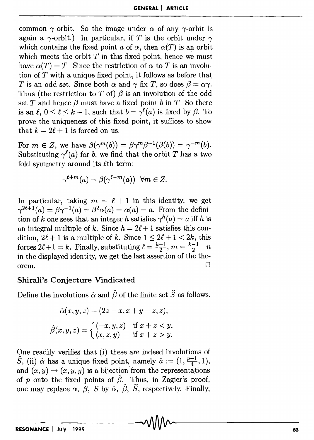common  $\gamma$ -orbit. So the image under  $\alpha$  of any  $\gamma$ -orbit is again a  $\gamma$ -orbit.) In particular, if *T* is the orbit under  $\gamma$ which contains the fixed point *a* of  $\alpha$ , then  $\alpha(T)$  is an orbit which meets the orbit  $T$  in this fixed point, hence we must have  $\alpha(T) = T$  Since the restriction of  $\alpha$  to T is an involution of  $T$  with a unique fixed point, it follows as before that *T* is an odd set. Since both  $\alpha$  and  $\gamma$  fix *T*, so does  $\beta = \alpha \gamma$ . Thus (the restriction to *T* of)  $\beta$  is an involution of the odd set T and hence  $\beta$  must have a fixed point b in T So there is an  $\ell$ ,  $0 \leq \ell \leq k-1$ , such that  $b = \gamma^{\ell}(a)$  is fixed by  $\beta$ . To prove the uniqueness of this fixed point, it suffices to show that  $k = 2\ell + 1$  is forced on us.

For  $m \in \mathbb{Z}$ , we have  $\beta(\gamma^m(b)) = \beta \gamma^m \beta^{-1}(\beta(b)) = \gamma^{-m}(b)$ . Substituting  $\gamma^{\ell}(a)$  for *b*, we find that the orbit *T* has a two fold symmetry around its  $\ell$ th term:

$$
\gamma^{\ell+m}(a)=\beta(\gamma^{\ell-m}(a))\;\;\forall m\in Z.
$$

In particular, taking  $m = \ell + 1$  in this identity, we get  $\gamma^{2\ell+1}(a) = \beta \gamma^{-1}(a) = \beta^2 \alpha(a) = \alpha(a) = a$ . From the definition of k one sees that an integer h satisfies  $\gamma^h(a) = a$  iff h is an integral multiple of k. Since  $h = 2\ell + 1$  satisfies this condition,  $2\ell + 1$  is a multiple of k. Since  $1 \leq 2\ell + 1 < 2k$ , this forces  $2\ell + 1 = k$ . Finally, substituting  $\ell = \frac{k-1}{2}, m = \frac{k-1}{2} - n$ in the displayed identity, we get the last assertion of the the- $\Box$ 

## **Shirali's Conjecture Vindicated**

Define the involutions  $\hat{\alpha}$  and  $\hat{\beta}$  of the finite set  $\hat{S}$  as follows.

$$
\hat{\alpha}(x, y, z) = (2z - x, x + y - z, z),
$$

$$
\hat{\beta}(x, y, z) = \begin{cases} (-x, y, z) & \text{if } x + z < y, \\ (x, z, y) & \text{if } x + z > y. \end{cases}
$$

One readily verifies that (i) these are indeed involutions of  $\hat{S}$ , (ii)  $\hat{\alpha}$  has a unique fixed point, namely  $\hat{a} := (1, \frac{p-1}{4}, 1)$ , and  $(x, y) \mapsto (x, y, y)$  is a bijection from the representations of p onto the fixed points of  $\hat{\beta}$ . Thus, in Zagier's proof, one may replace  $\alpha$ ,  $\beta$ , *S* by  $\hat{\alpha}$ ,  $\hat{\beta}$ , *S*, respectively. Finally,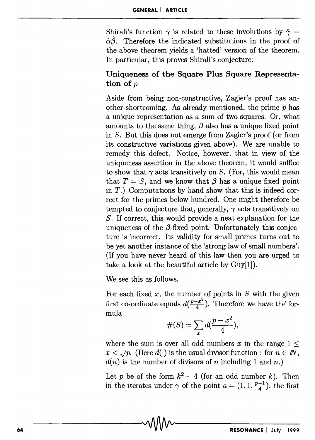Shirali's function  $\hat{\gamma}$  is related to these involutions by  $\hat{\gamma}$  =  $\hat{\alpha}\hat{\beta}$ . Therefore the indicated substitutions in the proof of the above theorem yields a 'hatted' version of the theorem. In particular, this proves Shirali's conjecture;

## Uniqueness of the Square Plus Square Representation of p

Aside from being non-constructive, Zagier's proof has another shortcoming. As already mentioned, the prime  $p$  has a unique representation as a sum of two squares. Or, what amounts to the same thing,  $\beta$  also has a unique fixed point in *S.* But this does not emerge from Zagier's proof (or from its constructive variations given above). We are unable to remedy this defect. Notice, however, that in view of the uniqueness assertion in the above theorem, it would suffice to show that  $\gamma$  acts transitively on *S*. (For, this would mean that  $T = S$ , and we know that  $\beta$  has a unique fixed point in  $T$ .) Computations by hand show that this is indeed correct for the primes below hundred. One might therefore be tempted to conjecture that, generally,  $\gamma$  acts transitively on *S.* If correct, this would provide a neat explanation for the uniqueness of the  $\beta$ -fixed point. Unfortunately this conjecture is incorrect. Its validity for small primes turns out to be yet another instance of the 'strong law of small numbers'. (If you have never heard of this law then you are urged to take a look at the beautiful article by  $Guy[1]$ .

We see this as follows.

For each fixed  $x$ , the number of points in  $S$  with the given first co-ordinate equals  $d(\frac{p-x^2}{4})$ . Therefore we have the formula

$$
\#(S)=\sum_x d(\frac{p-x^2}{4}),
$$

where the sum is over all odd numbers  $x$  in the range  $1 \le$  $x < \sqrt{p}$ . (Here  $d(\cdot)$  is the usual divisor function : for  $n \in \mathbb{N}$ ,  $d(n)$  is the number of divisors of n including 1 and n.)

Let p be of the form  $k^2 + 4$  (for an odd number k). Then in the iterates under  $\gamma$  of the point  $a = (1, 1, \frac{p-1}{4})$ , the first

 $\sim$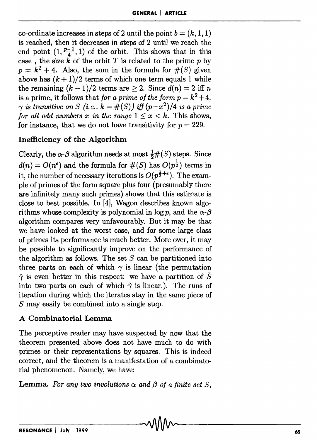co-ordinate increases in steps of 2 until the point  $b = (k, 1, 1)$ is reached, then it decreases in steps of 2 until we reach the end point  $(1, \frac{p-1}{4}, 1)$  of the orbit. This shows that in this case, the size  $\vec{k}$  of the orbit *T* is related to the prime p by  $p=k^2+4$ . Also, the sum in the formula for  $\#(S)$  given above has  $(k + 1)/2$  terms of which one term equals 1 while the remaining  $(k-1)/2$  terms are  $\geq 2$ . Since  $d(n) = 2$  iff n is a prime, it follows that *for a prime of the form*  $p = k^2 + 4$ ,  $\gamma$  *is transitive on S (i.e., k = #(S)) iff*  $(p-x^2)/4$  *is a prime for all odd numbers x in the range*  $1 \leq x \leq k$ . This shows, for instance, that we do not have transitivity for  $p = 229$ .

# Inefficiency of the Algorithm

Clearly, the  $\alpha$ - $\beta$  algorithm needs at most  $\frac{1}{2}$ #(S) steps. Since  $d(n) = O(n^{\epsilon})$  and the formula for  $\#(S)$  has  $O(p^{\frac{1}{2}})$  terms in it, the number of necessary iterations is  $O(p^{\frac{1}{2}+\epsilon})$ . The example of primes of the form square plus four (presumably there are infinitely many such primes) shows that this estimate is close to best possible. In [4], Wagon describes known algorithms whose complexity is polynomial in  $\log p$ , and the  $\alpha$ - $\beta$ algorithm compares very unfavourably. But it may be that we have looked at the worst case, and for some large class of primes its performance is much better. More over, it may be possible to significantly improve on the performance of the algorithm as follows. The set  $S$  can be partitioned into three parts on each of which  $\gamma$  is linear (the permutation  $\hat{\gamma}$  is even better in this respect: we have a partition of  $\hat{S}$ into two parts on each of which  $\hat{\gamma}$  is linear.). The runs of iteration during which the iterates stay in the same piece of S may easily be combined into a single step.

## A Combinatorial Lemma

The perceptive reader may have suspected by now that the theorem presented above does not have much to do with primes or their representations by squares. This is indeed correct, and the theorem is a manifestation of a combinatorial phenomenon. Namely, we have:

Lemma. For any two involutions  $\alpha$  and  $\beta$  of a finite set S,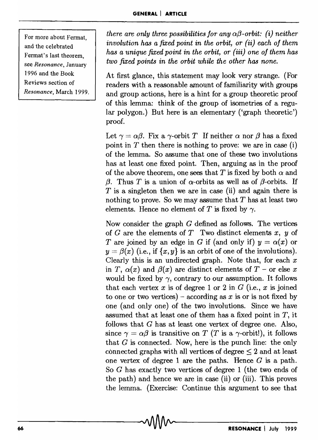For more about Fermat. and the celebrated Fermat's last theorem, see *Resonance,* January 1996 and the Book Reviews section of *Resonance,* March 1999. *there are only three possibilities for any*  $\alpha\beta$ *-orbit: (i) neither involution has a fixed point in the orbit, or (ii) each of them has a unique fixed point in the orbit, or (iii) one of them has two fixed points in the orbit while the other has none.* 

At first glance, this statement may look very strange. (For readers with a reasonable amount of familiarity with groups and group actions, here is a hint for a group theoretic proof of this lemma: think of the group of isometries of a regular polygon.) But here is an elementary ('graph theoretic') proof.

Let  $\gamma = \alpha \beta$ . Fix a  $\gamma$ -orbit *T* If neither  $\alpha$  nor  $\beta$  has a fixed point in  $T$  then there is nothing to prove: we are in case (i) of the lemma. So assume that one of these two involutions has at least one fixed point. Then, arguing as in the proof of the above theorem, one sees that *T* is fixed by both  $\alpha$  and *f3.* Thus *T* is a union of  $\alpha$ -orbits as well as of  $\beta$ -orbits. If  $T$  is a singleton then we are in case (ii) and again there is nothing to prove. So we may assume that  $T$  has at least two elements. Hence no element of T is fixed by  $\gamma$ .

Now consider the graph *G* defined as follows. The vertices of *G* are the elements of *T* Two distinct elements *x, y* of *T* are joined by an edge in *G* if (and only if)  $y = \alpha(x)$  or  $y = \beta(x)$  (i.e., if  $\{x, y\}$  is an orbit of one of the involutions). Clearly this is an undirected graph. Note that, for each *x*  in T,  $\alpha(x)$  and  $\beta(x)$  are distinct elements of T - or else x would be fixed by  $\gamma$ , contrary to our assumption. It follows that each vertex  $x$  is of degree 1 or 2 in  $G$  (i.e.,  $x$  is joined to one or two vertices) – according as x is or is not fixed by one (and only one) of the two involutions. Since we have assumed that at least one of them has a fixed point in *T,* it follows that *G* has at least one vertex of degree one. Also, since  $\gamma = \alpha \beta$  is transitive on *T* (*T* is a  $\gamma$ -orbit!), it follows that  $G$  is connected. Now, here is the punch line: the only connected graphs with all vertices of degree  $\leq 2$  and at least one vertex of degree 1 are the paths. Hence  $G$  is a path. So *G* has exactly two vertices of degree 1 (the two ends of the path) and hence we are in case (ii) or (iii). This proves the lemma. (Exercise: Continue this argument to see that